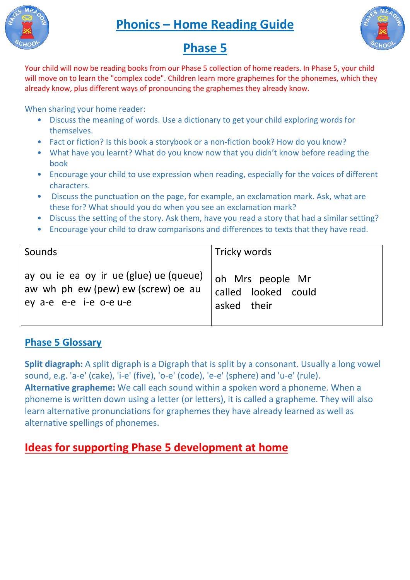



## **Phase 5**

Your child will now be reading books from our Phase 5 collection of home readers. In Phase 5, your child will move on to learn the "complex code". Children learn more graphemes for the phonemes, which they already know, plus different ways of pronouncing the graphemes they already know.

When sharing your home reader:

- Discuss the meaning of words. Use a dictionary to get your child exploring words for themselves.
- Fact or fiction? Is this book a storybook or a non-fiction book? How do you know?
- What have you learnt? What do you know now that you didn't know before reading the book • Fact or fiction? Is this book a storybook or a non-fiction book? How do you know?<br>• What have you learnt? What do you know now that you didn't know before reading the book<br>• Encourage your child to use expression when re
- characters.
- Discuss the punctuation on the page, for example, an exclamation mark. Ask, what are these for? What should you do when you see an exclamation mark?
- Discuss the setting of the story. Ask them, have you read a story that had a similar setting?
- Encourage your child to draw comparisons and differences to texts that they have read.

| Sounds                                 | Tricky words        |
|----------------------------------------|---------------------|
| ay ou ie ea oy ir ue (glue) ue (queue) | oh Mrs people Mr    |
| aw wh ph ew (pew) ew (screw) oe au     | called looked could |
| ey a-e e-e i-e o-e u-e                 | asked their         |

## **Phase 5 Glossary**

**Split diagraph:** A split digraph is a Digraph that is split by a consonant. Usually a long vowel sound, e.g. 'a-e' (cake), 'i-e' (five), 'o-e' (code), 'e-e' (sphere) and 'u-e' (rule). **Alternative grapheme:** We call each sound within a spoken word a phoneme. When a sound, e.g. 'a-e' (cake), 'i-e' (five), 'o-e' (code), 'e-e' (sphere) and 'u-e' (rule).<br>**Alternative grapheme:** We call each sound within a spoken word a phoneme. When a<br>phoneme is written down using a letter (or letters), learn alternative pronunciations for graphemes they have already learned as well as alternative spellings of phonemes.

## **Ideas for supporting Phase 5 5 development at home**